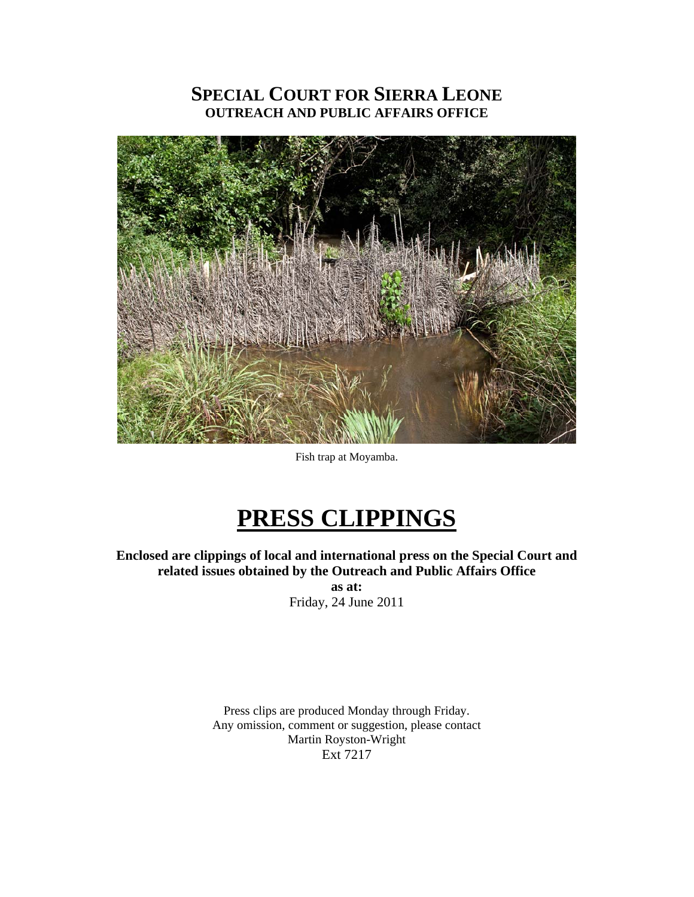## **SPECIAL COURT FOR SIERRA LEONE OUTREACH AND PUBLIC AFFAIRS OFFICE**



Fish trap at Moyamba.

# **PRESS CLIPPINGS**

**Enclosed are clippings of local and international press on the Special Court and related issues obtained by the Outreach and Public Affairs Office as at:** 

Friday, 24 June 2011

Press clips are produced Monday through Friday. Any omission, comment or suggestion, please contact Martin Royston-Wright Ext 7217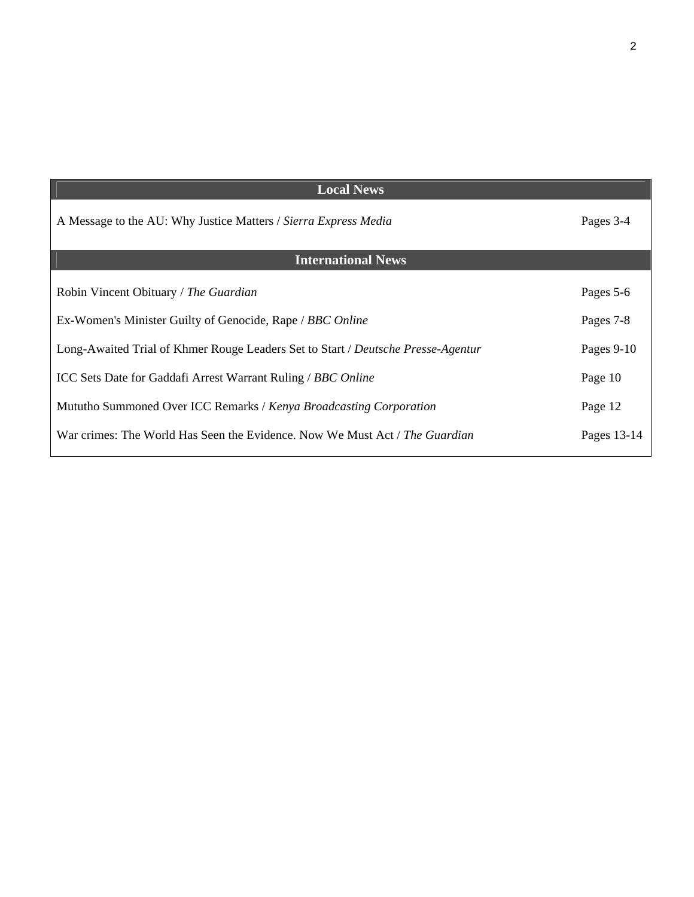| <b>Local News</b>                                                                |             |
|----------------------------------------------------------------------------------|-------------|
| A Message to the AU: Why Justice Matters / Sierra Express Media                  | Pages 3-4   |
| <b>International News</b>                                                        |             |
| Robin Vincent Obituary / The Guardian                                            | Pages 5-6   |
| Ex-Women's Minister Guilty of Genocide, Rape / BBC Online                        | Pages 7-8   |
| Long-Awaited Trial of Khmer Rouge Leaders Set to Start / Deutsche Presse-Agentur | Pages 9-10  |
| ICC Sets Date for Gaddafi Arrest Warrant Ruling / BBC Online                     | Page 10     |
| Mututho Summoned Over ICC Remarks / Kenya Broadcasting Corporation               | Page 12     |
| War crimes: The World Has Seen the Evidence. Now We Must Act / The Guardian      | Pages 13-14 |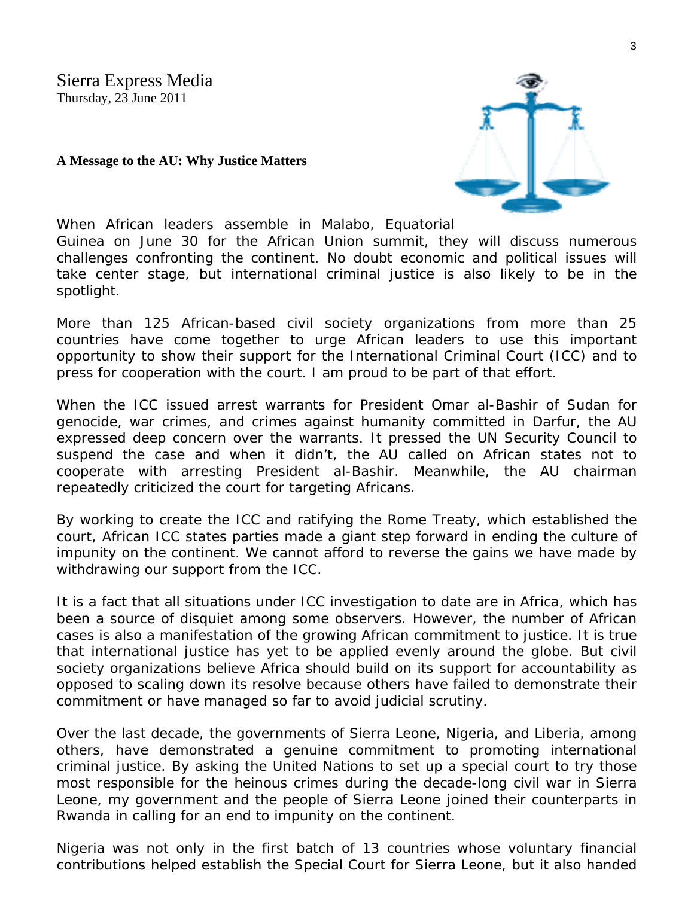Sierra Express Media Thursday, 23 June 2011

#### **A Message to the AU: Why Justice Matters**



When African leaders assemble in Malabo, Equatorial Guinea on June 30 for the African Union summit, they will discuss numerous challenges confronting the continent. No doubt economic and political issues will take center stage, but international criminal justice is also likely to be in the spotlight.

More than 125 African-based civil society organizations from more than 25 countries have come together to urge African leaders to use this important opportunity to show their support for the International Criminal Court (ICC) and to press for cooperation with the court. I am proud to be part of that effort.

When the ICC issued arrest warrants for President Omar al-Bashir of Sudan for genocide, war crimes, and crimes against humanity committed in Darfur, the AU expressed deep concern over the warrants. It pressed the UN Security Council to suspend the case and when it didn't, the AU called on African states not to cooperate with arresting President al-Bashir. Meanwhile, the AU chairman repeatedly criticized the court for targeting Africans.

By working to create the ICC and ratifying the Rome Treaty, which established the court, African ICC states parties made a giant step forward in ending the culture of impunity on the continent. We cannot afford to reverse the gains we have made by withdrawing our support from the ICC.

It is a fact that all situations under ICC investigation to date are in Africa, which has been a source of disquiet among some observers. However, the number of African cases is also a manifestation of the growing African commitment to justice. It is true that international justice has yet to be applied evenly around the globe. But civil society organizations believe Africa should build on its support for accountability as opposed to scaling down its resolve because others have failed to demonstrate their commitment or have managed so far to avoid judicial scrutiny.

Over the last decade, the governments of Sierra Leone, Nigeria, and Liberia, among others, have demonstrated a genuine commitment to promoting international criminal justice. By asking the United Nations to set up a special court to try those most responsible for the heinous crimes during the decade-long civil war in Sierra Leone, my government and the people of Sierra Leone joined their counterparts in Rwanda in calling for an end to impunity on the continent.

Nigeria was not only in the first batch of 13 countries whose voluntary financial contributions helped establish the Special Court for Sierra Leone, but it also handed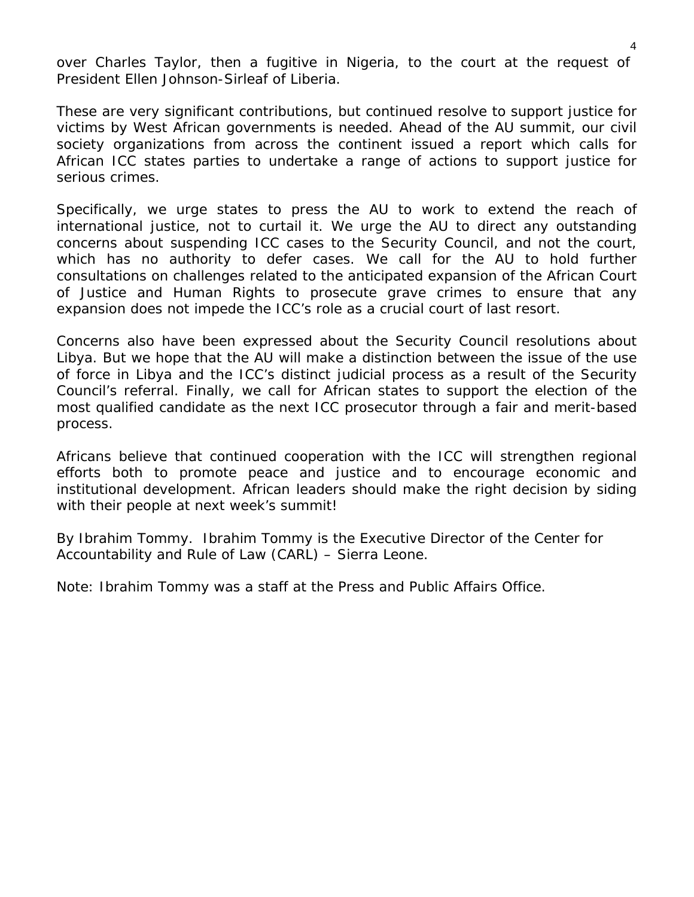over Charles Taylor, then a fugitive in Nigeria, to the court at the request of President Ellen Johnson-Sirleaf of Liberia.

These are very significant contributions, but continued resolve to support justice for victims by West African governments is needed. Ahead of the AU summit, our civil society organizations from across the continent issued a report which calls for African ICC states parties to undertake a range of actions to support justice for serious crimes.

Specifically, we urge states to press the AU to work to extend the reach of international justice, not to curtail it. We urge the AU to direct any outstanding concerns about suspending ICC cases to the Security Council, and not the court, which has no authority to defer cases. We call for the AU to hold further consultations on challenges related to the anticipated expansion of the African Court of Justice and Human Rights to prosecute grave crimes to ensure that any expansion does not impede the ICC's role as a crucial court of last resort.

Concerns also have been expressed about the Security Council resolutions about Libya. But we hope that the AU will make a distinction between the issue of the use of force in Libya and the ICC's distinct judicial process as a result of the Security Council's referral. Finally, we call for African states to support the election of the most qualified candidate as the next ICC prosecutor through a fair and merit-based process.

Africans believe that continued cooperation with the ICC will strengthen regional efforts both to promote peace and justice and to encourage economic and institutional development. African leaders should make the right decision by siding with their people at next week's summit!

*By Ibrahim Tommy. Ibrahim Tommy is the Executive Director of the Center for Accountability and Rule of Law (CARL) – Sierra Leone*.

*Note: Ibrahim Tommy was a staff at the Press and Public Affairs Office.*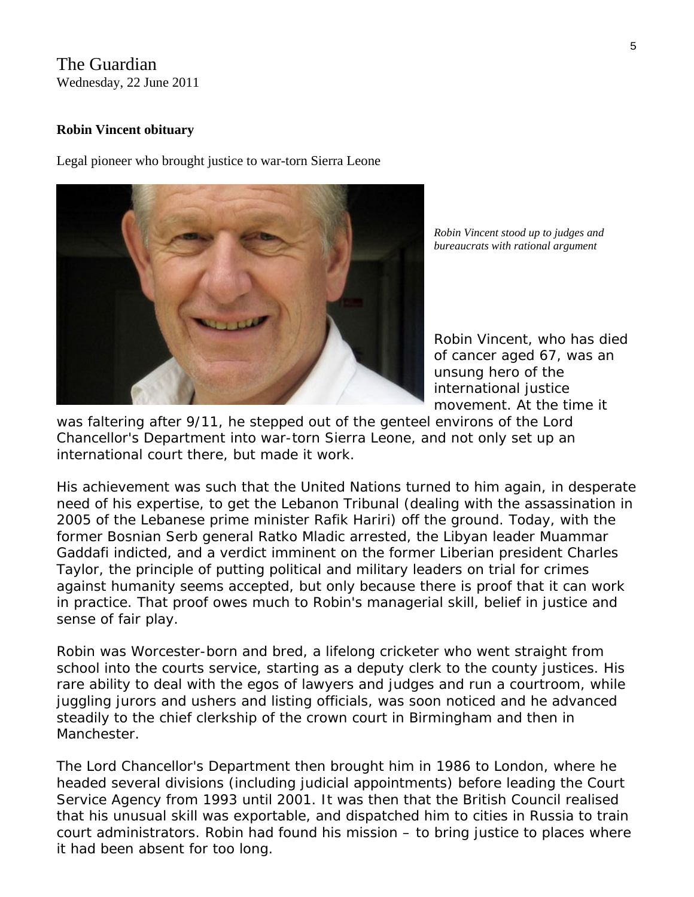### The Guardian

Wednesday, 22 June 2011

#### **Robin Vincent obituary**

Legal pioneer who brought justice to war-torn Sierra Leone



*Robin Vincent stood up to judges and bureaucrats with rational argument* 

Robin Vincent, who has died of cancer aged 67, was an unsung hero of the international justice movement. At the time it

was faltering after 9/11, he stepped out of the genteel environs of the Lord Chancellor's Department into war-torn [Sierra Leone,](http://www.guardian.co.uk/world/sierraleone) and not only set up an international court there, but made it work.

His achievement was such that the [United Nations](http://www.guardian.co.uk/world/unitednations) turned to him again, in desperate need of his expertise, to get the Lebanon Tribunal (dealing with the assassination in 2005 of the Lebanese prime minister [Rafik Hariri\)](http://www.guardian.co.uk/news/2005/feb/15/guardianobituaries.syria) off the ground. Today, with the former Bosnian Serb general Ratko Mladic arrested, the Libyan leader Muammar Gaddafi indicted, and a verdict imminent on the former Liberian president Charles Taylor, the principle of putting political and military leaders on trial for crimes against humanity seems accepted, but only because there is proof that it can work in practice. That proof owes much to Robin's managerial skill, belief in justice and sense of fair play.

Robin was Worcester-born and bred, a lifelong cricketer who went straight from school into the courts service, starting as a deputy clerk to the county justices. His rare ability to deal with the egos of lawyers and judges and run a courtroom, while juggling jurors and ushers and listing officials, was soon noticed and he advanced steadily to the chief clerkship of the crown court in Birmingham and then in Manchester.

The Lord Chancellor's Department then brought him in 1986 to London, where he headed several divisions (including judicial appointments) before leading the Court Service Agency from 1993 until 2001. It was then that the British Council realised that his unusual skill was exportable, and dispatched him to cities in Russia to train court administrators. Robin had found his mission – to bring justice to places where it had been absent for too long.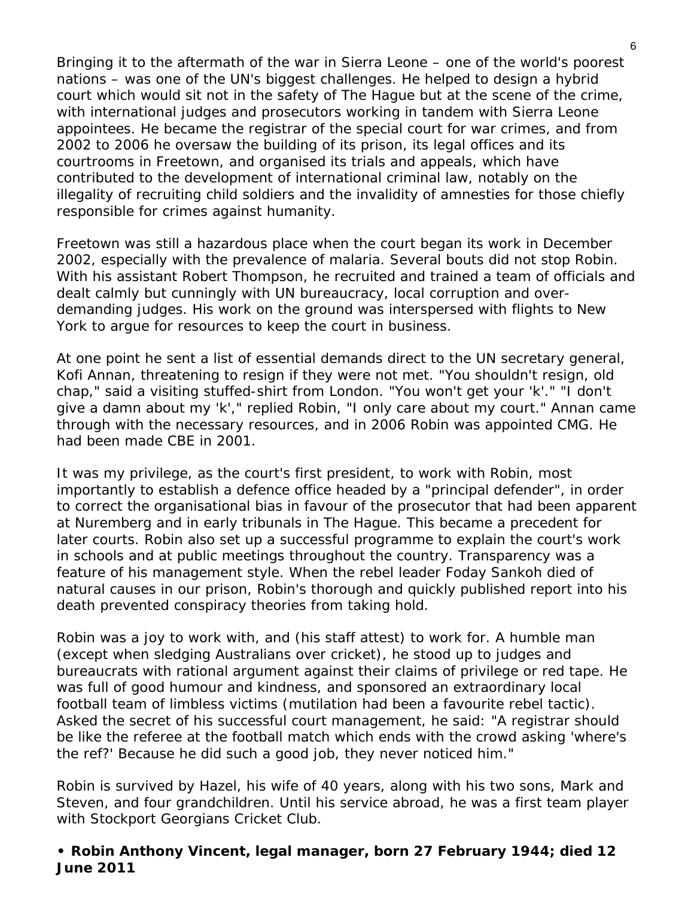Bringing it to the aftermath of the war in Sierra Leone – one of the world's poorest nations – was one of the UN's biggest challenges. He helped to design a hybrid court which would sit not in the safety of The Hague but at the scene of the crime, with international judges and prosecutors working in tandem with Sierra Leone appointees. He became the registrar of the special court for war crimes, and from 2002 to 2006 he oversaw the building of its prison, its legal offices and its courtrooms in Freetown, and organised its trials and appeals, which have contributed to the development of international criminal law, notably on the illegality of recruiting child soldiers and the invalidity of amnesties for those chiefly responsible for crimes against humanity.

Freetown was still a hazardous place when the court began its work in December 2002, especially with the prevalence of malaria. Several bouts did not stop Robin. With his assistant Robert Thompson, he recruited and trained a team of officials and dealt calmly but cunningly with UN bureaucracy, local corruption and overdemanding judges. His work on the ground was interspersed with flights to New York to argue for resources to keep the court in business.

At one point he sent a list of essential demands direct to the UN secretary general, Kofi Annan, threatening to resign if they were not met. "You shouldn't resign, old chap," said a visiting stuffed-shirt from London. "You won't get your 'k'." "I don't give a damn about my 'k'," replied Robin, "I only care about my court." Annan came through with the necessary resources, and in 2006 Robin was appointed CMG. He had been made CBE in 2001.

It was my privilege, as the court's first president, to work with Robin, most importantly to establish a defence office headed by a "principal defender", in order to correct the organisational bias in favour of the prosecutor that had been apparent at Nuremberg and in early tribunals in The Hague. This became a precedent for later courts. Robin also set up a successful programme to explain the court's work in schools and at public meetings throughout the country. Transparency was a feature of his management style. When the rebel leader Foday Sankoh died of natural causes in our prison, Robin's thorough and quickly published report into his death prevented conspiracy theories from taking hold.

Robin was a joy to work with, and (his staff attest) to work for. A humble man (except when sledging Australians over cricket), he stood up to judges and bureaucrats with rational argument against their claims of privilege or red tape. He was full of good humour and kindness, and sponsored an extraordinary local football team of limbless victims (mutilation had been a favourite rebel tactic). Asked the secret of his successful court management, he said: "A registrar should be like the referee at the football match which ends with the crowd asking 'where's the ref?' Because he did such a good job, they never noticed him."

Robin is survived by Hazel, his wife of 40 years, along with his two sons, Mark and Steven, and four grandchildren. Until his service abroad, he was a first team player with Stockport Georgians Cricket Club.

### *• Robin Anthony Vincent, legal manager, born 27 February 1944; died 12 June 2011*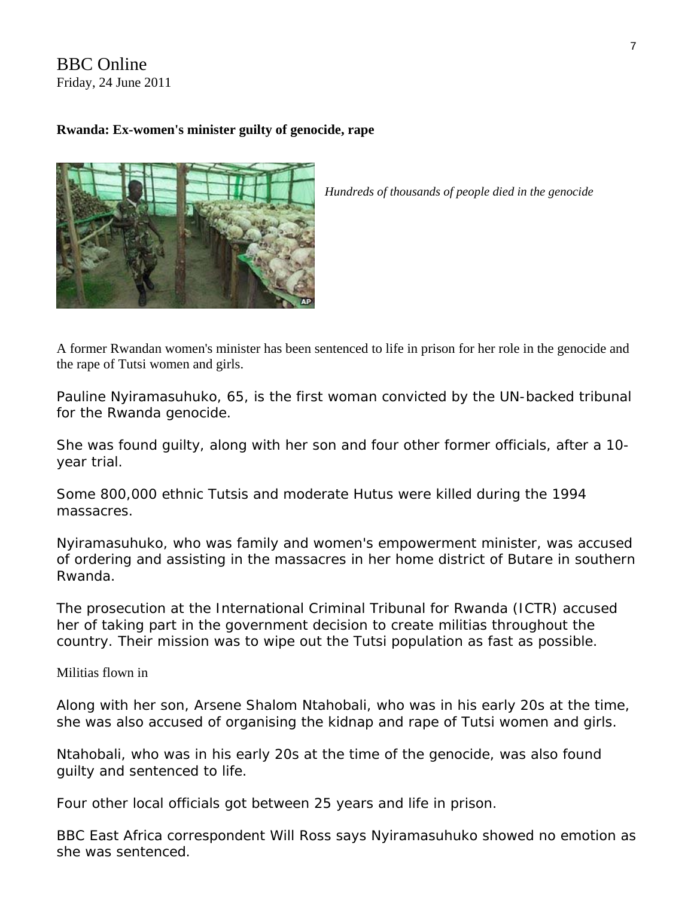BBC Online Friday, 24 June 2011

### **Rwanda: Ex-women's minister guilty of genocide, rape**



*Hundreds of thousands of people died in the genocide* 

A former Rwandan women's minister has been sentenced to life in prison for her role in the genocide and the rape of Tutsi women and girls.

Pauline Nyiramasuhuko, 65, is the first woman convicted by the UN-backed tribunal for the Rwanda genocide.

She was found guilty, along with her son and four other former officials, after a 10 year trial.

Some 800,000 ethnic Tutsis and moderate Hutus were killed during the 1994 massacres.

Nyiramasuhuko, who was family and women's empowerment minister, was accused of ordering and assisting in the massacres in her home district of Butare in southern Rwanda.

The prosecution at the International Criminal Tribunal for Rwanda (ICTR) accused her of taking part in the government decision to create militias throughout the country. Their mission was to wipe out the Tutsi population as fast as possible.

Militias flown in

Along with her son, Arsene Shalom Ntahobali, who was in his early 20s at the time, she was also accused of organising the kidnap and rape of Tutsi women and girls.

Ntahobali, who was in his early 20s at the time of the genocide, was also found guilty and sentenced to life.

Four other local officials got between 25 years and life in prison.

BBC East Africa correspondent Will Ross says Nyiramasuhuko showed no emotion as she was sentenced.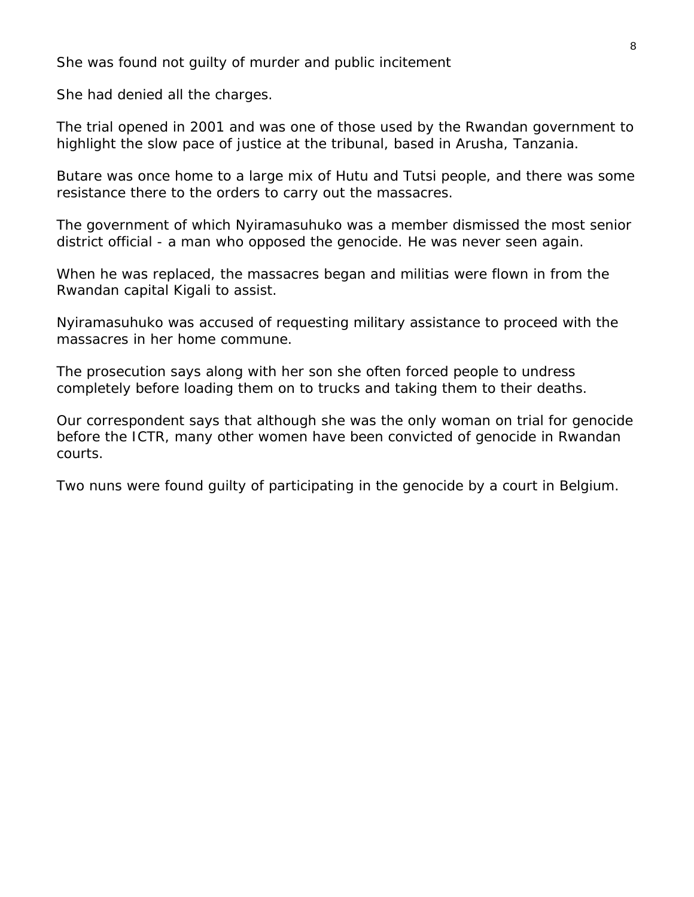She was found not guilty of murder and public incitement

She had denied all the charges.

The trial opened in 2001 and was one of those used by the Rwandan government to highlight the slow pace of justice at the tribunal, based in Arusha, Tanzania.

Butare was once home to a large mix of Hutu and Tutsi people, and there was some resistance there to the orders to carry out the massacres.

The government of which Nyiramasuhuko was a member dismissed the most senior district official - a man who opposed the genocide. He was never seen again.

When he was replaced, the massacres began and militias were flown in from the Rwandan capital Kigali to assist.

Nyiramasuhuko was accused of requesting military assistance to proceed with the massacres in her home commune.

The prosecution says along with her son she often forced people to undress completely before loading them on to trucks and taking them to their deaths.

Our correspondent says that although she was the only woman on trial for genocide before the ICTR, many other women have been convicted of genocide in Rwandan courts.

Two nuns were found guilty of participating in the genocide by a court in Belgium.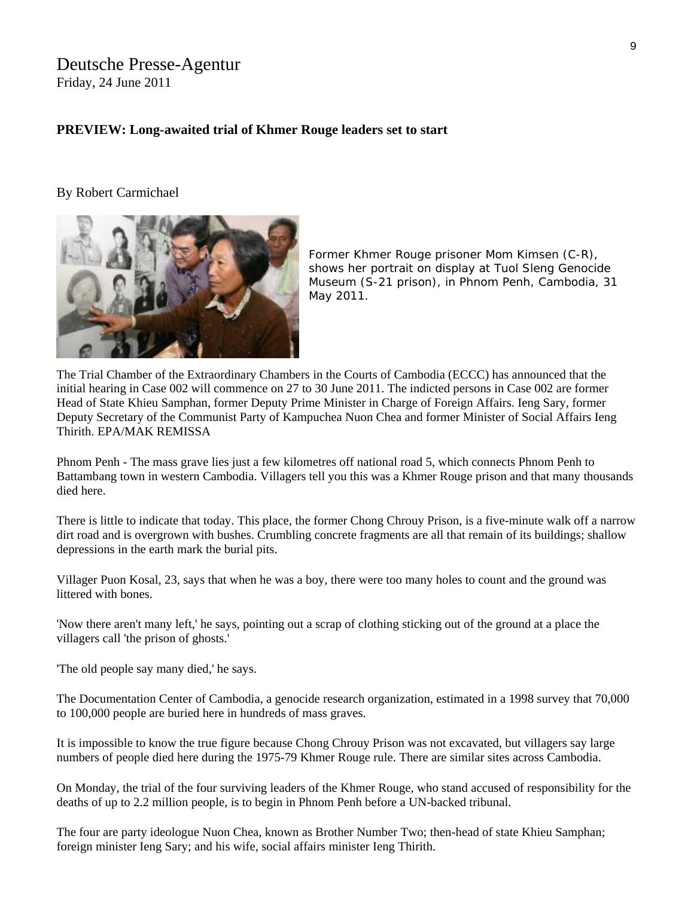# Deutsche Presse-Agentur

Friday, 24 June 2011

### **PREVIEW: Long-awaited trial of Khmer Rouge leaders set to start**

### By Robert Carmichael



*Former Khmer Rouge prisoner Mom Kimsen (C-R), shows her portrait on display at Tuol Sleng Genocide Museum (S-21 prison), in Phnom Penh, Cambodia, 31 May 2011.* 

The Trial Chamber of the Extraordinary Chambers in the Courts of Cambodia (ECCC) has announced that the initial hearing in Case 002 will commence on 27 to 30 June 2011. The indicted persons in Case 002 are former Head of State Khieu Samphan, former Deputy Prime Minister in Charge of Foreign Affairs. Ieng Sary, former Deputy Secretary of the Communist Party of Kampuchea Nuon Chea and former Minister of Social Affairs Ieng Thirith. EPA/MAK REMISSA

Phnom Penh - The mass grave lies just a few kilometres off national road 5, which connects Phnom Penh to Battambang town in western Cambodia. Villagers tell you this was a Khmer Rouge prison and that many thousands died here.

There is little to indicate that today. This place, the former Chong Chrouy Prison, is a five-minute walk off a narrow dirt road and is overgrown with bushes. Crumbling concrete fragments are all that remain of its buildings; shallow depressions in the earth mark the burial pits.

Villager Puon Kosal, 23, says that when he was a boy, there were too many holes to count and the ground was littered with bones.

'Now there aren't many left,' he says, pointing out a scrap of clothing sticking out of the ground at a place the villagers call 'the prison of ghosts.'

'The old people say many died,' he says.

The Documentation Center of Cambodia, a genocide research organization, estimated in a 1998 survey that 70,000 to 100,000 people are buried here in hundreds of mass graves.

It is impossible to know the true figure because Chong Chrouy Prison was not excavated, but villagers say large numbers of people died here during the 1975-79 Khmer Rouge rule. There are similar sites across Cambodia.

On Monday, the trial of the four surviving leaders of the Khmer Rouge, who stand accused of responsibility for the deaths of up to 2.2 million people, is to begin in Phnom Penh before a UN-backed tribunal.

The four are party ideologue Nuon Chea, known as Brother Number Two; then-head of state Khieu Samphan; foreign minister Ieng Sary; and his wife, social affairs minister Ieng Thirith.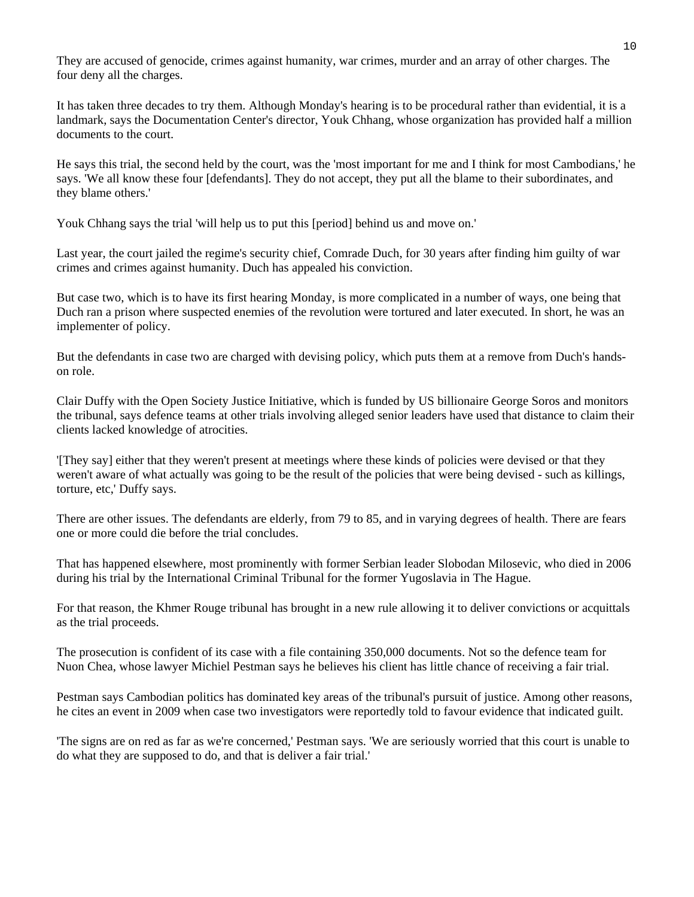They are accused of genocide, crimes against humanity, war crimes, murder and an array of other charges. The four deny all the charges.

It has taken three decades to try them. Although Monday's hearing is to be procedural rather than evidential, it is a landmark, says the Documentation Center's director, Youk Chhang, whose organization has provided half a million documents to the court.

He says this trial, the second held by the court, was the 'most important for me and I think for most Cambodians,' he says. 'We all know these four [defendants]. They do not accept, they put all the blame to their subordinates, and they blame others.'

Youk Chhang says the trial 'will help us to put this [period] behind us and move on.'

Last year, the court jailed the regime's security chief, Comrade Duch, for 30 years after finding him guilty of war crimes and crimes against humanity. Duch has appealed his conviction.

But case two, which is to have its first hearing Monday, is more complicated in a number of ways, one being that Duch ran a prison where suspected enemies of the revolution were tortured and later executed. In short, he was an implementer of policy.

But the defendants in case two are charged with devising policy, which puts them at a remove from Duch's handson role.

Clair Duffy with the Open Society Justice Initiative, which is funded by US billionaire George Soros and monitors the tribunal, says defence teams at other trials involving alleged senior leaders have used that distance to claim their clients lacked knowledge of atrocities.

'[They say] either that they weren't present at meetings where these kinds of policies were devised or that they weren't aware of what actually was going to be the result of the policies that were being devised - such as killings, torture, etc,' Duffy says.

There are other issues. The defendants are elderly, from 79 to 85, and in varying degrees of health. There are fears one or more could die before the trial concludes.

That has happened elsewhere, most prominently with former Serbian leader Slobodan Milosevic, who died in 2006 during his trial by the International Criminal Tribunal for the former Yugoslavia in The Hague.

For that reason, the Khmer Rouge tribunal has brought in a new rule allowing it to deliver convictions or acquittals as the trial proceeds.

The prosecution is confident of its case with a file containing 350,000 documents. Not so the defence team for Nuon Chea, whose lawyer Michiel Pestman says he believes his client has little chance of receiving a fair trial.

Pestman says Cambodian politics has dominated key areas of the tribunal's pursuit of justice. Among other reasons, he cites an event in 2009 when case two investigators were reportedly told to favour evidence that indicated guilt.

'The signs are on red as far as we're concerned,' Pestman says. 'We are seriously worried that this court is unable to do what they are supposed to do, and that is deliver a fair trial.'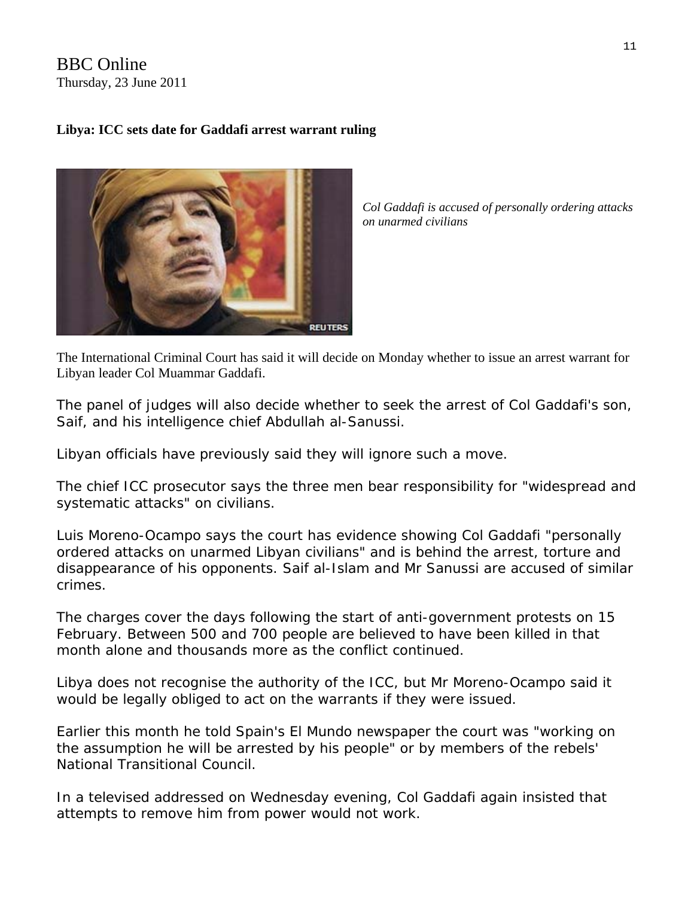BBC Online Thursday, 23 June 2011

### **Libya: ICC sets date for Gaddafi arrest warrant ruling**



*Col Gaddafi is accused of personally ordering attacks on unarmed civilians* 

The International Criminal Court has said it will decide on Monday whether to issue an arrest warrant for Libyan leader Col Muammar Gaddafi.

The panel of judges will also decide whether to seek the arrest of Col Gaddafi's son, Saif, and his intelligence chief Abdullah al-Sanussi.

Libyan officials have previously said they will ignore such a move.

The chief ICC prosecutor says the three men bear responsibility for "widespread and systematic attacks" on civilians.

Luis Moreno-Ocampo says the court has evidence showing Col Gaddafi "personally ordered attacks on unarmed Libyan civilians" and is behind the arrest, torture and disappearance of his opponents. Saif al-Islam and Mr Sanussi are accused of similar crimes.

The charges cover the days following the start of anti-government protests on 15 February. Between 500 and 700 people are believed to have been killed in that month alone and thousands more as the conflict continued.

Libya does not recognise the authority of the ICC, but Mr Moreno-Ocampo said it would be legally obliged to act on the warrants if they were issued.

Earlier this month he told Spain's El Mundo newspaper the court was "working on the assumption he will be arrested by his people" or by members of the rebels' National Transitional Council.

In a televised addressed on Wednesday evening, Col Gaddafi again insisted that attempts to remove him from power would not work.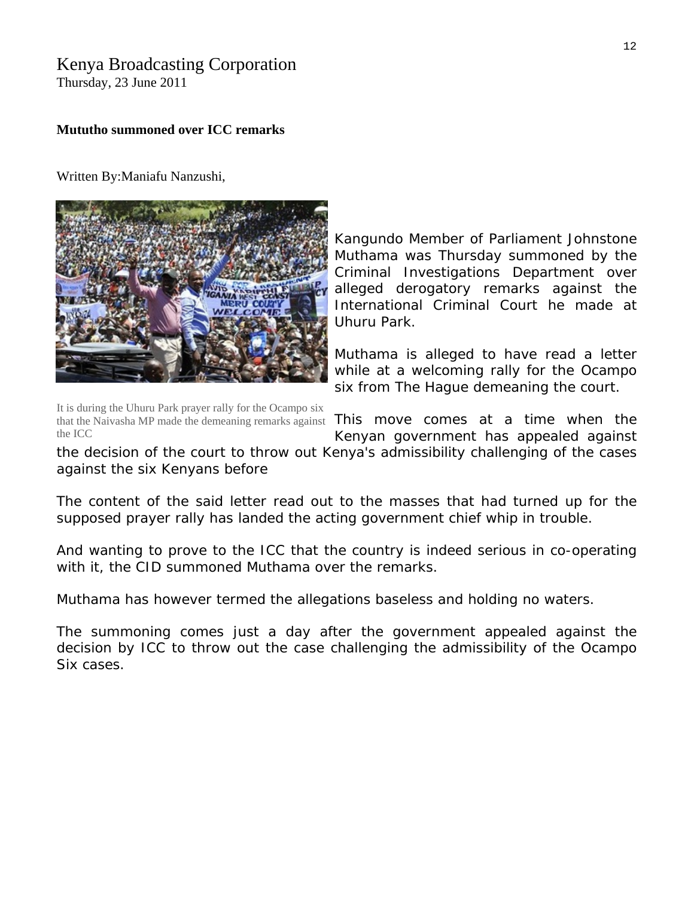### Kenya Broadcasting Corporation

Thursday, 23 June 2011

#### **Mututho summoned over ICC remarks**

Written By:Maniafu Nanzushi,



Kangundo Member of Parliament Johnstone Muthama was Thursday summoned by the Criminal Investigations Department over alleged derogatory remarks against the International Criminal Court he made at Uhuru Park.

Muthama is alleged to have read a letter while at a welcoming rally for the Ocampo six from The Hague demeaning the court.

It is during the Uhuru Park prayer rally for the Ocampo six the ICC

that the Naivasha MP made the demeaning remarks against This move comes at a time when the Kenyan government has appealed against

the decision of the court to throw out Kenya's admissibility challenging of the cases against the six Kenyans before

The content of the said letter read out to the masses that had turned up for the supposed prayer rally has landed the acting government chief whip in trouble.

And wanting to prove to the ICC that the country is indeed serious in co-operating with it, the CID summoned Muthama over the remarks.

Muthama has however termed the allegations baseless and holding no waters.

The summoning comes just a day after the government appealed against the decision by ICC to throw out the case challenging the admissibility of the Ocampo Six cases.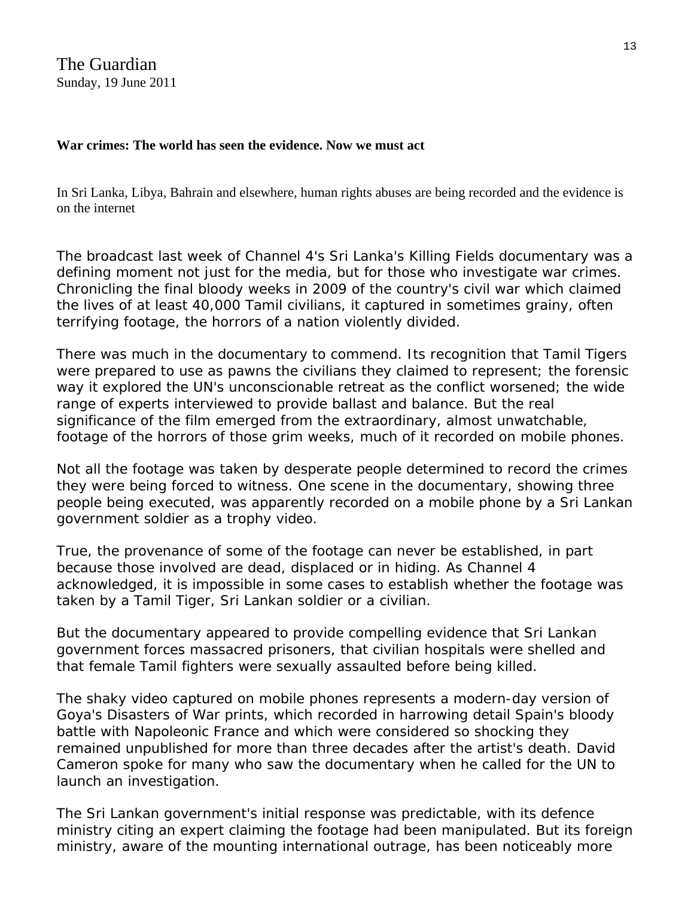### **War crimes: The world has seen the evidence. Now we must act**

In Sri Lanka, Libya, Bahrain and elsewhere, human rights abuses are being recorded and the evidence is on the internet

The broadcast last week of Channel 4's [Sri Lanka](http://www.guardian.co.uk/world/srilanka)*'s Killing Fields* documentary was a defining moment not just for the media, but for those who investigate [war crimes](http://www.guardian.co.uk/law/war-crimes). Chronicling the final bloody weeks in 2009 of the country's civil war which claimed the lives of at least 40,000 Tamil civilians, it captured in sometimes grainy, often terrifying footage, the horrors of a nation violently divided.

There was much in the documentary to commend. Its recognition that Tamil Tigers were prepared to use as pawns the civilians they claimed to represent; the forensic way it explored the UN's unconscionable retreat as the conflict worsened; the wide range of experts interviewed to provide ballast and balance. But the real significance of the film emerged from the extraordinary, almost unwatchable, footage of the horrors of those grim weeks, much of it recorded on mobile phones.

Not all the footage was taken by desperate people determined to record the crimes they were being forced to witness. One scene in the documentary, showing three people being executed, was apparently recorded on a mobile phone by a Sri Lankan government soldier as a trophy video.

True, the provenance of some of the footage can never be established, in part because those involved are dead, displaced or in hiding. As Channel 4 acknowledged, it is impossible in some cases to establish whether the footage was taken by a Tamil Tiger, Sri Lankan soldier or a civilian.

But the documentary appeared to provide compelling evidence that Sri Lankan government forces massacred prisoners, that civilian hospitals were shelled and that female Tamil fighters were sexually assaulted before being killed.

The shaky video captured on mobile phones represents a modern-day version of Goya's *Disasters of War* prints, which recorded in harrowing detail Spain's bloody battle with Napoleonic France and which were considered so shocking they remained unpublished for more than three decades after the artist's death. David Cameron spoke for many who saw the documentary when he called for the UN to launch an investigation.

The Sri Lankan government's initial response was predictable, with its defence ministry citing an expert claiming the footage had been manipulated. But its foreign ministry, aware of the mounting international outrage, has been noticeably more